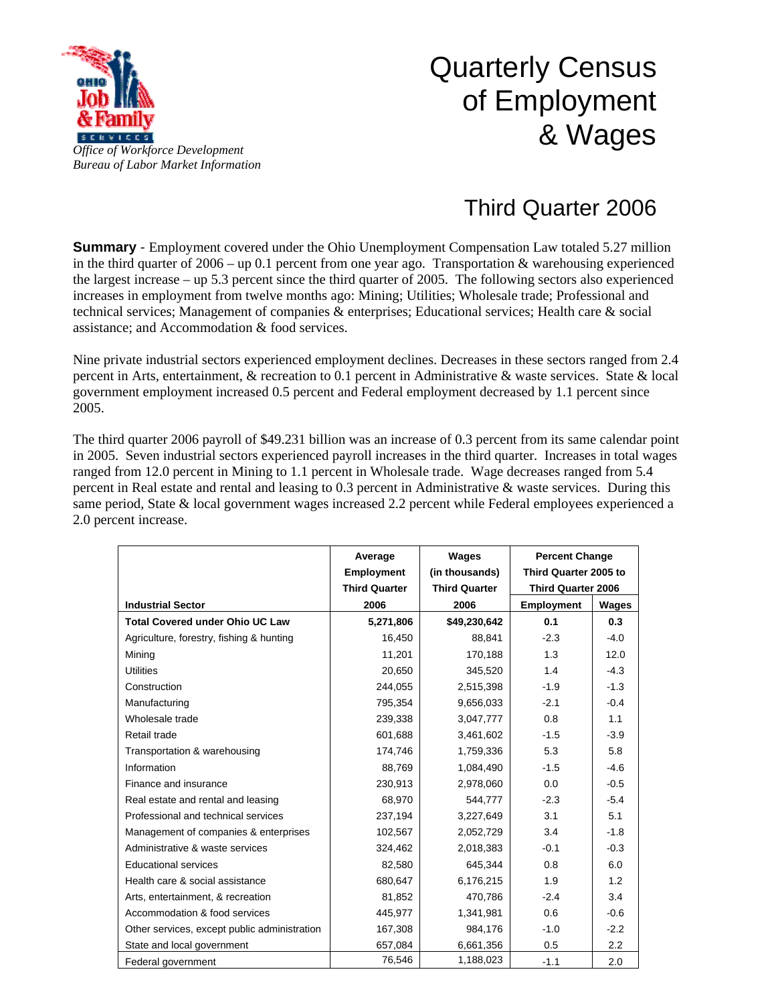

## Quarterly Census of Employment & Wages

## Third Quarter 2006

**Summary** - Employment covered under the Ohio Unemployment Compensation Law totaled 5.27 million in the third quarter of  $2006 - \text{up } 0.1$  percent from one year ago. Transportation & warehousing experienced the largest increase – up 5.3 percent since the third quarter of 2005. The following sectors also experienced increases in employment from twelve months ago: Mining; Utilities; Wholesale trade; Professional and technical services; Management of companies & enterprises; Educational services; Health care & social assistance; and Accommodation & food services.

Nine private industrial sectors experienced employment declines. Decreases in these sectors ranged from 2.4 percent in Arts, entertainment, & recreation to 0.1 percent in Administrative & waste services. State & local government employment increased 0.5 percent and Federal employment decreased by 1.1 percent since 2005.

The third quarter 2006 payroll of \$49.231 billion was an increase of 0.3 percent from its same calendar point in 2005. Seven industrial sectors experienced payroll increases in the third quarter. Increases in total wages ranged from 12.0 percent in Mining to 1.1 percent in Wholesale trade. Wage decreases ranged from 5.4 percent in Real estate and rental and leasing to 0.3 percent in Administrative & waste services. During this same period, State & local government wages increased 2.2 percent while Federal employees experienced a 2.0 percent increase.

|                                              | Average              | Wages                | <b>Percent Change</b>     |        |
|----------------------------------------------|----------------------|----------------------|---------------------------|--------|
|                                              | <b>Employment</b>    | (in thousands)       | Third Quarter 2005 to     |        |
|                                              | <b>Third Quarter</b> | <b>Third Quarter</b> | <b>Third Quarter 2006</b> |        |
| <b>Industrial Sector</b>                     | 2006                 | 2006                 | <b>Employment</b>         | Wages  |
| <b>Total Covered under Ohio UC Law</b>       | 5,271,806            | \$49,230,642         | 0.1                       | 0.3    |
| Agriculture, forestry, fishing & hunting     | 16,450               | 88,841               | $-2.3$                    | $-4.0$ |
| Mining                                       | 11,201               | 170,188              | 1.3                       | 12.0   |
| <b>Utilities</b>                             | 20,650               | 345,520              | 1.4                       | $-4.3$ |
| Construction                                 | 244,055              | 2,515,398            | $-1.9$                    | $-1.3$ |
| Manufacturing                                | 795,354              | 9,656,033            | $-2.1$                    | $-0.4$ |
| Wholesale trade                              | 239,338              | 3,047,777            | 0.8                       | 1.1    |
| Retail trade                                 | 601,688              | 3,461,602            | $-1.5$                    | $-3.9$ |
| Transportation & warehousing                 | 174,746              | 1,759,336            | 5.3                       | 5.8    |
| Information                                  | 88,769               | 1,084,490            | $-1.5$                    | $-4.6$ |
| Finance and insurance                        | 230,913              | 2,978,060            | 0.0                       | $-0.5$ |
| Real estate and rental and leasing           | 68,970               | 544,777              | $-2.3$                    | $-5.4$ |
| Professional and technical services          | 237,194              | 3,227,649            | 3.1                       | 5.1    |
| Management of companies & enterprises        | 102,567              | 2,052,729            | 3.4                       | $-1.8$ |
| Administrative & waste services              | 324,462              | 2,018,383            | $-0.1$                    | $-0.3$ |
| <b>Educational services</b>                  | 82,580               | 645,344              | 0.8                       | 6.0    |
| Health care & social assistance              | 680,647              | 6,176,215            | 1.9                       | 1.2    |
| Arts, entertainment, & recreation            | 81,852               | 470,786              | $-2.4$                    | 3.4    |
| Accommodation & food services                | 445,977              | 1,341,981            | 0.6                       | $-0.6$ |
| Other services, except public administration | 167,308              | 984,176              | $-1.0$                    | $-2.2$ |
| State and local government                   | 657,084              | 6,661,356            | 0.5                       | 2.2    |
| Federal government                           | 76,546               | 1,188,023            | $-1.1$                    | 2.0    |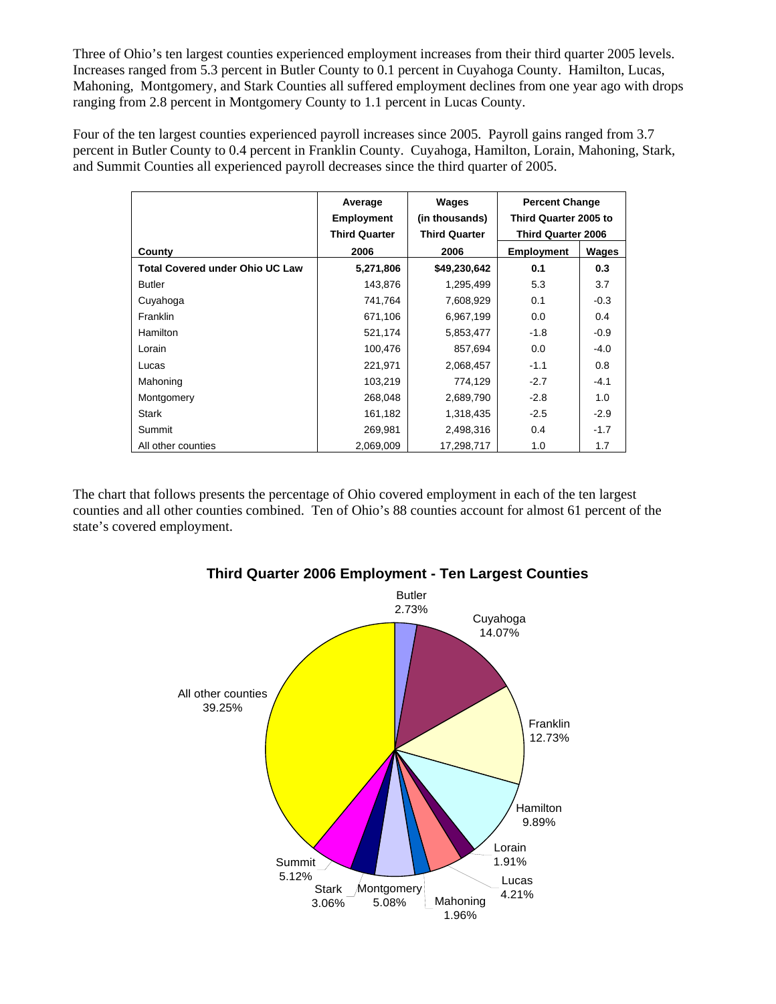Three of Ohio's ten largest counties experienced employment increases from their third quarter 2005 levels. Increases ranged from 5.3 percent in Butler County to 0.1 percent in Cuyahoga County. Hamilton, Lucas, Mahoning, Montgomery, and Stark Counties all suffered employment declines from one year ago with drops ranging from 2.8 percent in Montgomery County to 1.1 percent in Lucas County.

Four of the ten largest counties experienced payroll increases since 2005. Payroll gains ranged from 3.7 percent in Butler County to 0.4 percent in Franklin County. Cuyahoga, Hamilton, Lorain, Mahoning, Stark, and Summit Counties all experienced payroll decreases since the third quarter of 2005.

|                                        | Average<br><b>Employment</b> | Wages<br>(in thousands) | <b>Percent Change</b><br>Third Quarter 2005 to<br><b>Third Quarter 2006</b> |        |
|----------------------------------------|------------------------------|-------------------------|-----------------------------------------------------------------------------|--------|
|                                        | <b>Third Quarter</b>         | <b>Third Quarter</b>    |                                                                             |        |
| County                                 | 2006                         | 2006                    | <b>Employment</b>                                                           | Wages  |
| <b>Total Covered under Ohio UC Law</b> | 5,271,806                    | \$49,230,642            | 0.1                                                                         | 0.3    |
| Butler                                 | 143,876                      | 1,295,499               | 5.3                                                                         | 3.7    |
| Cuyahoga                               | 741,764                      | 7,608,929               | 0.1                                                                         | $-0.3$ |
| Franklin                               | 671,106                      | 6,967,199               | 0.0                                                                         | 0.4    |
| Hamilton                               | 521,174                      | 5,853,477               | $-1.8$                                                                      | $-0.9$ |
| Lorain                                 | 100,476                      | 857,694                 | 0.0                                                                         | $-4.0$ |
| Lucas                                  | 221,971                      | 2,068,457               | $-1.1$                                                                      | 0.8    |
| Mahoning                               | 103,219                      | 774,129                 | $-2.7$                                                                      | $-4.1$ |
| Montgomery                             | 268,048                      | 2,689,790               | $-2.8$                                                                      | 1.0    |
| <b>Stark</b>                           | 161,182                      | 1,318,435               | $-2.5$                                                                      | $-2.9$ |
| Summit                                 | 269,981                      | 2,498,316               | 0.4                                                                         | $-1.7$ |
| All other counties                     | 2,069,009                    | 17,298,717              | 1.0                                                                         | 1.7    |

The chart that follows presents the percentage of Ohio covered employment in each of the ten largest counties and all other counties combined. Ten of Ohio's 88 counties account for almost 61 percent of the state's covered employment.



## **Third Quarter 2006 Employment - Ten Largest Counties**